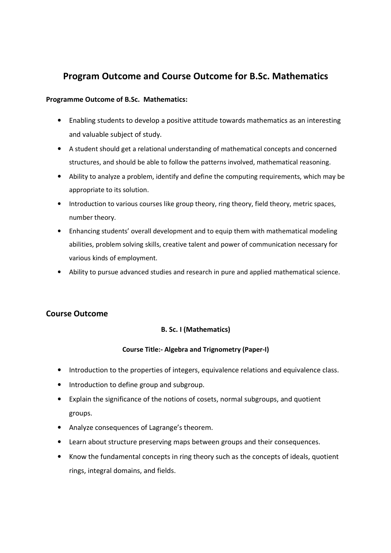# **Program Outcome and Course Outcome for B.Sc. Mathematics**

## **Programme Outcome of B.Sc. Mathematics:**

- Enabling students to develop a positive attitude towards mathematics as an interesting and valuable subject of study.
- A student should get a relational understanding of mathematical concepts and concerned structures, and should be able to follow the patterns involved, mathematical reasoning.
- Ability to analyze a problem, identify and define the computing requirements, which may be appropriate to its solution.
- Introduction to various courses like group theory, ring theory, field theory, metric spaces, number theory.
- Enhancing students' overall development and to equip them with mathematical modeling abilities, problem solving skills, creative talent and power of communication necessary for various kinds of employment.
- Ability to pursue advanced studies and research in pure and applied mathematical science.

## **Course Outcome**

## **B. Sc. I (Mathematics)**

## **Course Title:- Algebra and Trignometry (Paper-I)**

- Introduction to the properties of integers, equivalence relations and equivalence class.
- Introduction to define group and subgroup.
- Explain the significance of the notions of cosets, normal subgroups, and quotient groups.
- Analyze consequences of Lagrange's theorem.
- Learn about structure preserving maps between groups and their consequences.
- Know the fundamental concepts in ring theory such as the concepts of ideals, quotient rings, integral domains, and fields.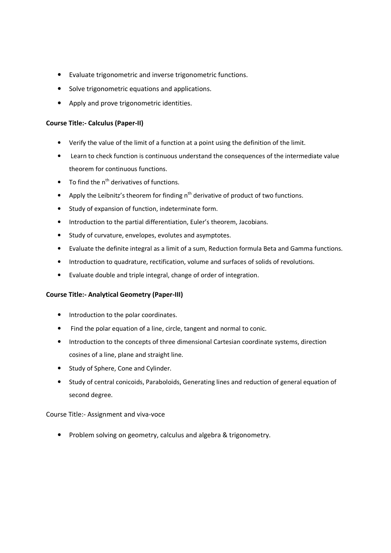- Evaluate trigonometric and inverse trigonometric functions.
- Solve trigonometric equations and applications.
- Apply and prove trigonometric identities.

## **Course Title:- Calculus (Paper-II)**

- Verify the value of the limit of a function at a point using the definition of the limit.
- Learn to check function is continuous understand the consequences of the intermediate value theorem for continuous functions.
- To find the  $n^{th}$  derivatives of functions.
- Apply the Leibnitz's theorem for finding  $n<sup>th</sup>$  derivative of product of two functions.
- Study of expansion of function, indeterminate form.
- Introduction to the partial differentiation, Euler's theorem, Jacobians.
- Study of curvature, envelopes, evolutes and asymptotes.
- Evaluate the definite integral as a limit of a sum, Reduction formula Beta and Gamma functions.
- Introduction to quadrature, rectification, volume and surfaces of solids of revolutions.
- Evaluate double and triple integral, change of order of integration.

## **Course Title:- Analytical Geometry (Paper-III)**

- Introduction to the polar coordinates.
- Find the polar equation of a line, circle, tangent and normal to conic.
- Introduction to the concepts of three dimensional Cartesian coordinate systems, direction cosines of a line, plane and straight line.
- Study of Sphere, Cone and Cylinder.
- Study of central conicoids, Paraboloids, Generating lines and reduction of general equation of second degree.

Course Title:- Assignment and viva-voce

• Problem solving on geometry, calculus and algebra & trigonometry.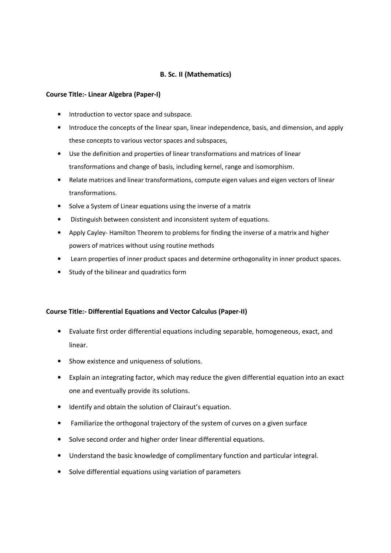## **B. Sc. II (Mathematics)**

#### **Course Title:- Linear Algebra (Paper-I)**

- Introduction to vector space and subspace.
- Introduce the concepts of the linear span, linear independence, basis, and dimension, and apply these concepts to various vector spaces and subspaces,
- Use the definition and properties of linear transformations and matrices of linear transformations and change of basis, including kernel, range and isomorphism.
- Relate matrices and linear transformations, compute eigen values and eigen vectors of linear transformations.
- Solve a System of Linear equations using the inverse of a matrix
- Distinguish between consistent and inconsistent system of equations.
- Apply Cayley- Hamilton Theorem to problems for finding the inverse of a matrix and higher powers of matrices without using routine methods
- Learn properties of inner product spaces and determine orthogonality in inner product spaces.
- Study of the bilinear and quadratics form

#### **Course Title:- Differential Equations and Vector Calculus (Paper-II)**

- Evaluate first order differential equations including separable, homogeneous, exact, and linear.
- Show existence and uniqueness of solutions.
- Explain an integrating factor, which may reduce the given differential equation into an exact one and eventually provide its solutions.
- Identify and obtain the solution of Clairaut's equation.
- Familiarize the orthogonal trajectory of the system of curves on a given surface
- Solve second order and higher order linear differential equations.
- Understand the basic knowledge of complimentary function and particular integral.
- Solve differential equations using variation of parameters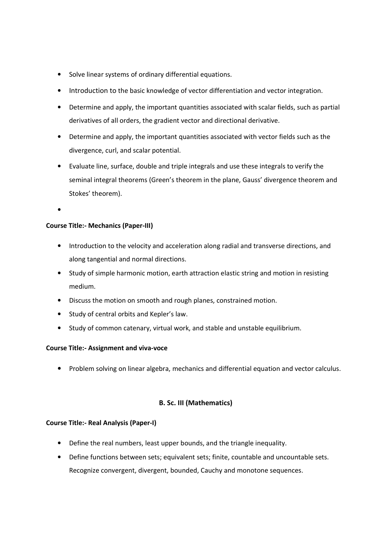- Solve linear systems of ordinary differential equations.
- Introduction to the basic knowledge of vector differentiation and vector integration.
- Determine and apply, the important quantities associated with scalar fields, such as partial derivatives of all orders, the gradient vector and directional derivative.
- Determine and apply, the important quantities associated with vector fields such as the divergence, curl, and scalar potential.
- Evaluate line, surface, double and triple integrals and use these integrals to verify the seminal integral theorems (Green's theorem in the plane, Gauss' divergence theorem and Stokes' theorem).
- •

## **Course Title:- Mechanics (Paper-III)**

- Introduction to the velocity and acceleration along radial and transverse directions, and along tangential and normal directions.
- Study of simple harmonic motion, earth attraction elastic string and motion in resisting medium.
- Discuss the motion on smooth and rough planes, constrained motion.
- Study of central orbits and Kepler's law.
- Study of common catenary, virtual work, and stable and unstable equilibrium.

#### **Course Title:- Assignment and viva-voce**

• Problem solving on linear algebra, mechanics and differential equation and vector calculus.

## **B. Sc. III (Mathematics)**

#### **Course Title:- Real Analysis (Paper-I)**

- Define the real numbers, least upper bounds, and the triangle inequality.
- Define functions between sets; equivalent sets; finite, countable and uncountable sets. Recognize convergent, divergent, bounded, Cauchy and monotone sequences.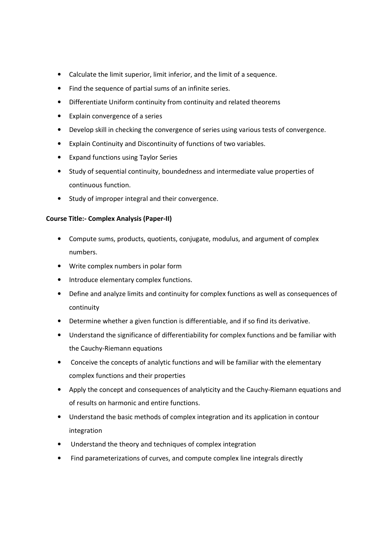- Calculate the limit superior, limit inferior, and the limit of a sequence.
- Find the sequence of partial sums of an infinite series.
- Differentiate Uniform continuity from continuity and related theorems
- Explain convergence of a series
- Develop skill in checking the convergence of series using various tests of convergence.
- Explain Continuity and Discontinuity of functions of two variables.
- Expand functions using Taylor Series
- Study of sequential continuity, boundedness and intermediate value properties of continuous function.
- Study of improper integral and their convergence.

## **Course Title:- Complex Analysis (Paper-II)**

- Compute sums, products, quotients, conjugate, modulus, and argument of complex numbers.
- Write complex numbers in polar form
- Introduce elementary complex functions.
- Define and analyze limits and continuity for complex functions as well as consequences of continuity
- Determine whether a given function is differentiable, and if so find its derivative.
- Understand the significance of differentiability for complex functions and be familiar with the Cauchy-Riemann equations
- Conceive the concepts of analytic functions and will be familiar with the elementary complex functions and their properties
- Apply the concept and consequences of analyticity and the Cauchy-Riemann equations and of results on harmonic and entire functions.
- Understand the basic methods of complex integration and its application in contour integration
- Understand the theory and techniques of complex integration
- Find parameterizations of curves, and compute complex line integrals directly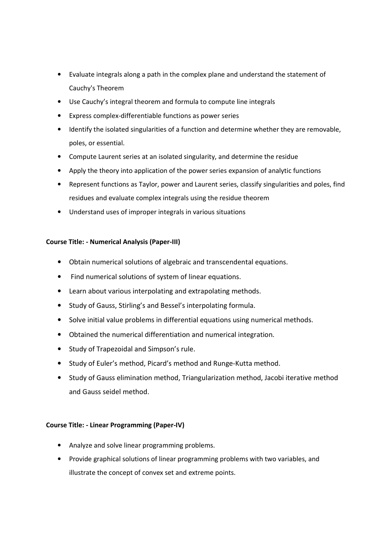- Evaluate integrals along a path in the complex plane and understand the statement of Cauchy's Theorem
- Use Cauchy's integral theorem and formula to compute line integrals
- Express complex-differentiable functions as power series
- Identify the isolated singularities of a function and determine whether they are removable, poles, or essential.
- Compute Laurent series at an isolated singularity, and determine the residue
- Apply the theory into application of the power series expansion of analytic functions
- Represent functions as Taylor, power and Laurent series, classify singularities and poles, find residues and evaluate complex integrals using the residue theorem
- Understand uses of improper integrals in various situations

## **Course Title: - Numerical Analysis (Paper-III)**

- Obtain numerical solutions of algebraic and transcendental equations.
- Find numerical solutions of system of linear equations.
- Learn about various interpolating and extrapolating methods.
- Study of Gauss, Stirling's and Bessel's interpolating formula.
- Solve initial value problems in differential equations using numerical methods.
- Obtained the numerical differentiation and numerical integration.
- Study of Trapezoidal and Simpson's rule.
- Study of Euler's method, Picard's method and Runge-Kutta method.
- Study of Gauss elimination method, Triangularization method, Jacobi iterative method and Gauss seidel method.

## **Course Title: - Linear Programming (Paper-IV)**

- Analyze and solve linear programming problems.
- Provide graphical solutions of linear programming problems with two variables, and illustrate the concept of convex set and extreme points.